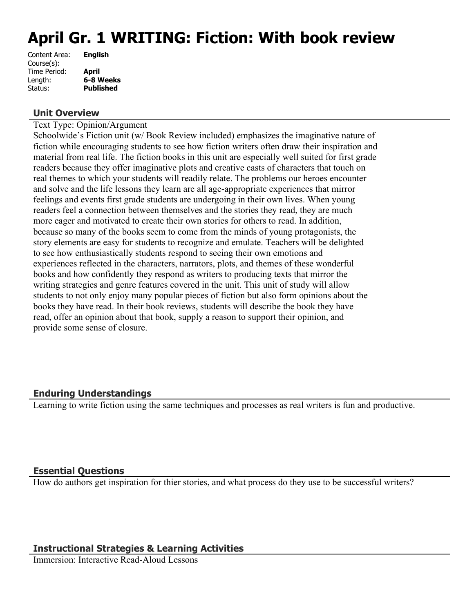# **April Gr. 1 WRITING: Fiction: With book review**

#### **Unit Overview**

Text Type: Opinion/Argument

Schoolwide's Fiction unit (w/ Book Review included) emphasizes the imaginative nature of fiction while encouraging students to see how fiction writers often draw their inspiration and material from real life. The fiction books in this unit are especially well suited for first grade readers because they offer imaginative plots and creative casts of characters that touch on real themes to which your students will readily relate. The problems our heroes encounter and solve and the life lessons they learn are all age-appropriate experiences that mirror feelings and events first grade students are undergoing in their own lives. When young readers feel a connection between themselves and the stories they read, they are much more eager and motivated to create their own stories for others to read. In addition, because so many of the books seem to come from the minds of young protagonists, the story elements are easy for students to recognize and emulate. Teachers will be delighted to see how enthusiastically students respond to seeing their own emotions and experiences reflected in the characters, narrators, plots, and themes of these wonderful books and how confidently they respond as writers to producing texts that mirror the writing strategies and genre features covered in the unit. This unit of study will allow students to not only enjoy many popular pieces of fiction but also form opinions about the books they have read. In their book reviews, students will describe the book they have read, offer an opinion about that book, supply a reason to support their opinion, and provide some sense of closure.

# **Enduring Understandings**

Learning to write fiction using the same techniques and processes as real writers is fun and productive.

## **Essential Questions**

How do authors get inspiration for thier stories, and what process do they use to be successful writers?

#### **Instructional Strategies & Learning Activities**

Immersion: Interactive Read-Aloud Lessons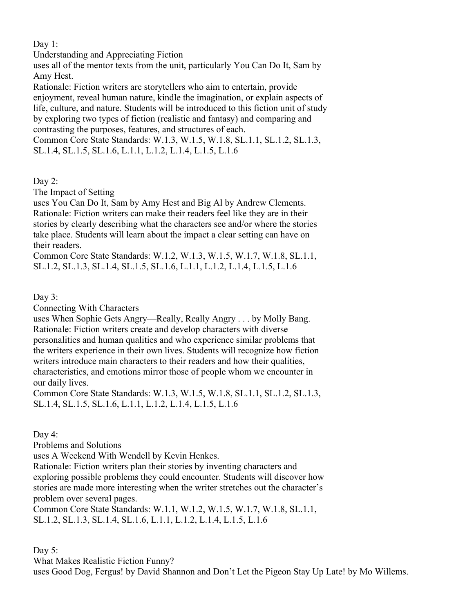Day 1:

Understanding and Appreciating Fiction

uses all of the mentor texts from the unit, particularly You Can Do It, Sam by Amy Hest.

Rationale: Fiction writers are storytellers who aim to entertain, provide enjoyment, reveal human nature, kindle the imagination, or explain aspects of life, culture, and nature. Students will be introduced to this fiction unit of study by exploring two types of fiction (realistic and fantasy) and comparing and contrasting the purposes, features, and structures of each.

Common Core State Standards: W.1.3, W.1.5, W.1.8, SL.1.1, SL.1.2, SL.1.3, SL.1.4, SL.1.5, SL.1.6, L.1.1, L.1.2, L.1.4, L.1.5, L.1.6

Day 2:

The Impact of Setting

uses You Can Do It, Sam by Amy Hest and Big Al by Andrew Clements. Rationale: Fiction writers can make their readers feel like they are in their stories by clearly describing what the characters see and/or where the stories take place. Students will learn about the impact a clear setting can have on their readers.

Common Core State Standards: W.1.2, W.1.3, W.1.5, W.1.7, W.1.8, SL.1.1, SL.1.2, SL.1.3, SL.1.4, SL.1.5, SL.1.6, L.1.1, L.1.2, L.1.4, L.1.5, L.1.6

Day 3:

Connecting With Characters

uses When Sophie Gets Angry—Really, Really Angry . . . by Molly Bang. Rationale: Fiction writers create and develop characters with diverse personalities and human qualities and who experience similar problems that the writers experience in their own lives. Students will recognize how fiction writers introduce main characters to their readers and how their qualities, characteristics, and emotions mirror those of people whom we encounter in our daily lives.

Common Core State Standards: W.1.3, W.1.5, W.1.8, SL.1.1, SL.1.2, SL.1.3, SL.1.4, SL.1.5, SL.1.6, L.1.1, L.1.2, L.1.4, L.1.5, L.1.6

Day 4:

Problems and Solutions

uses A Weekend With Wendell by Kevin Henkes.

Rationale: Fiction writers plan their stories by inventing characters and exploring possible problems they could encounter. Students will discover how stories are made more interesting when the writer stretches out the character's problem over several pages.

Common Core State Standards: W.1.1, W.1.2, W.1.5, W.1.7, W.1.8, SL.1.1, SL.1.2, SL.1.3, SL.1.4, SL.1.6, L.1.1, L.1.2, L.1.4, L.1.5, L.1.6

Day 5:

What Makes Realistic Fiction Funny?

uses Good Dog, Fergus! by David Shannon and Don't Let the Pigeon Stay Up Late! by Mo Willems.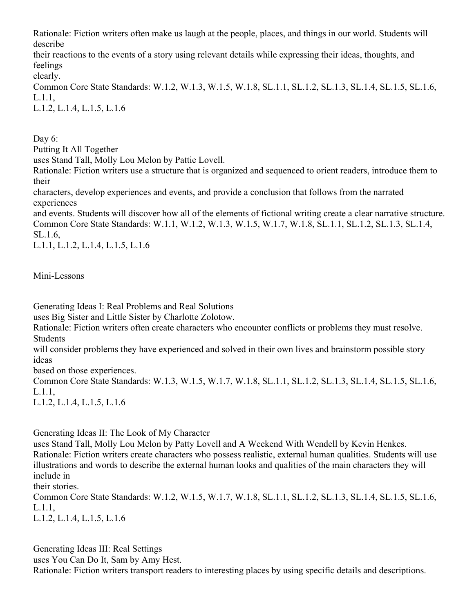Rationale: Fiction writers often make us laugh at the people, places, and things in our world. Students will describe

their reactions to the events of a story using relevant details while expressing their ideas, thoughts, and feelings

clearly.

Common Core State Standards: W.1.2, W.1.3, W.1.5, W.1.8, SL.1.1, SL.1.2, SL.1.3, SL.1.4, SL.1.5, SL.1.6, L.1.1,

L.1.2, L.1.4, L.1.5, L.1.6

Day 6: Putting It All Together

uses Stand Tall, Molly Lou Melon by Pattie Lovell.

Rationale: Fiction writers use a structure that is organized and sequenced to orient readers, introduce them to their

characters, develop experiences and events, and provide a conclusion that follows from the narrated experiences

and events. Students will discover how all of the elements of fictional writing create a clear narrative structure. Common Core State Standards: W.1.1, W.1.2, W.1.3, W.1.5, W.1.7, W.1.8, SL.1.1, SL.1.2, SL.1.3, SL.1.4, SL.1.6,

L.1.1, L.1.2, L.1.4, L.1.5, L.1.6

Mini-Lessons

Generating Ideas I: Real Problems and Real Solutions

uses Big Sister and Little Sister by Charlotte Zolotow.

Rationale: Fiction writers often create characters who encounter conflicts or problems they must resolve. **Students** 

will consider problems they have experienced and solved in their own lives and brainstorm possible story ideas

based on those experiences.

Common Core State Standards: W.1.3, W.1.5, W.1.7, W.1.8, SL.1.1, SL.1.2, SL.1.3, SL.1.4, SL.1.5, SL.1.6, L.1.1,

L.1.2, L.1.4, L.1.5, L.1.6

Generating Ideas II: The Look of My Character

uses Stand Tall, Molly Lou Melon by Patty Lovell and A Weekend With Wendell by Kevin Henkes. Rationale: Fiction writers create characters who possess realistic, external human qualities. Students will use illustrations and words to describe the external human looks and qualities of the main characters they will include in

their stories.

Common Core State Standards: W.1.2, W.1.5, W.1.7, W.1.8, SL.1.1, SL.1.2, SL.1.3, SL.1.4, SL.1.5, SL.1.6, L.1.1,

L.1.2, L.1.4, L.1.5, L.1.6

Generating Ideas III: Real Settings uses You Can Do It, Sam by Amy Hest. Rationale: Fiction writers transport readers to interesting places by using specific details and descriptions.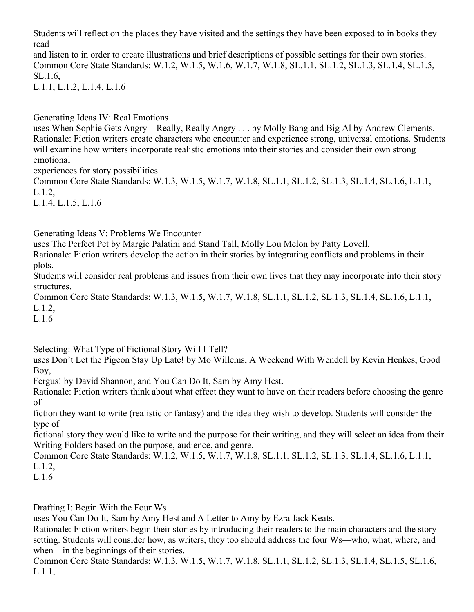Students will reflect on the places they have visited and the settings they have been exposed to in books they read

and listen to in order to create illustrations and brief descriptions of possible settings for their own stories. Common Core State Standards: W.1.2, W.1.5, W.1.6, W.1.7, W.1.8, SL.1.1, SL.1.2, SL.1.3, SL.1.4, SL.1.5, SL.1.6,

L.1.1, L.1.2, L.1.4, L.1.6

Generating Ideas IV: Real Emotions

uses When Sophie Gets Angry—Really, Really Angry . . . by Molly Bang and Big Al by Andrew Clements. Rationale: Fiction writers create characters who encounter and experience strong, universal emotions. Students will examine how writers incorporate realistic emotions into their stories and consider their own strong emotional

experiences for story possibilities.

Common Core State Standards: W.1.3, W.1.5, W.1.7, W.1.8, SL.1.1, SL.1.2, SL.1.3, SL.1.4, SL.1.6, L.1.1, L.1.2,

L.1.4, L.1.5, L.1.6

Generating Ideas V: Problems We Encounter

uses The Perfect Pet by Margie Palatini and Stand Tall, Molly Lou Melon by Patty Lovell.

Rationale: Fiction writers develop the action in their stories by integrating conflicts and problems in their plots.

Students will consider real problems and issues from their own lives that they may incorporate into their story structures.

Common Core State Standards: W.1.3, W.1.5, W.1.7, W.1.8, SL.1.1, SL.1.2, SL.1.3, SL.1.4, SL.1.6, L.1.1, L.1.2,

L.1.6

Selecting: What Type of Fictional Story Will I Tell?

uses Don't Let the Pigeon Stay Up Late! by Mo Willems, A Weekend With Wendell by Kevin Henkes, Good Boy,

Fergus! by David Shannon, and You Can Do It, Sam by Amy Hest.

Rationale: Fiction writers think about what effect they want to have on their readers before choosing the genre of

fiction they want to write (realistic or fantasy) and the idea they wish to develop. Students will consider the type of

fictional story they would like to write and the purpose for their writing, and they will select an idea from their Writing Folders based on the purpose, audience, and genre.

Common Core State Standards: W.1.2, W.1.5, W.1.7, W.1.8, SL.1.1, SL.1.2, SL.1.3, SL.1.4, SL.1.6, L.1.1, L.1.2,

L.1.6

Drafting I: Begin With the Four Ws

uses You Can Do It, Sam by Amy Hest and A Letter to Amy by Ezra Jack Keats.

Rationale: Fiction writers begin their stories by introducing their readers to the main characters and the story setting. Students will consider how, as writers, they too should address the four Ws—who, what, where, and when—in the beginnings of their stories.

Common Core State Standards: W.1.3, W.1.5, W.1.7, W.1.8, SL.1.1, SL.1.2, SL.1.3, SL.1.4, SL.1.5, SL.1.6, L.1.1,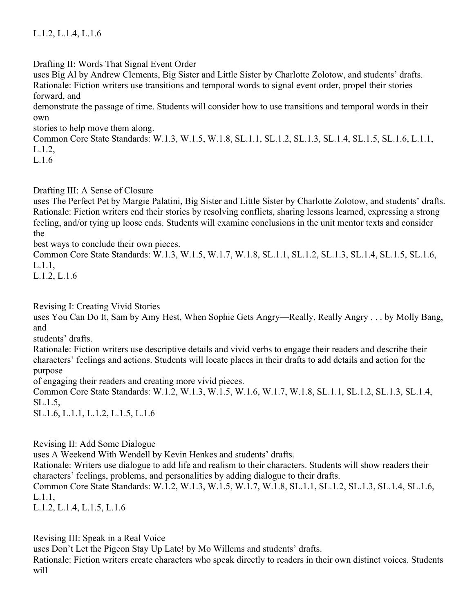## L.1.2, L.1.4, L.1.6

Drafting II: Words That Signal Event Order

uses Big Al by Andrew Clements, Big Sister and Little Sister by Charlotte Zolotow, and students' drafts. Rationale: Fiction writers use transitions and temporal words to signal event order, propel their stories forward, and

demonstrate the passage of time. Students will consider how to use transitions and temporal words in their own

stories to help move them along.

Common Core State Standards: W.1.3, W.1.5, W.1.8, SL.1.1, SL.1.2, SL.1.3, SL.1.4, SL.1.5, SL.1.6, L.1.1, L.1.2,

 $L.16$ 

#### Drafting III: A Sense of Closure

uses The Perfect Pet by Margie Palatini, Big Sister and Little Sister by Charlotte Zolotow, and students' drafts. Rationale: Fiction writers end their stories by resolving conflicts, sharing lessons learned, expressing a strong feeling, and/or tying up loose ends. Students will examine conclusions in the unit mentor texts and consider the

best ways to conclude their own pieces.

Common Core State Standards: W.1.3, W.1.5, W.1.7, W.1.8, SL.1.1, SL.1.2, SL.1.3, SL.1.4, SL.1.5, SL.1.6, L.1.1,

L.1.2, L.1.6

Revising I: Creating Vivid Stories

uses You Can Do It, Sam by Amy Hest, When Sophie Gets Angry—Really, Really Angry . . . by Molly Bang, and

students' drafts.

Rationale: Fiction writers use descriptive details and vivid verbs to engage their readers and describe their characters' feelings and actions. Students will locate places in their drafts to add details and action for the purpose

of engaging their readers and creating more vivid pieces.

Common Core State Standards: W.1.2, W.1.3, W.1.5, W.1.6, W.1.7, W.1.8, SL.1.1, SL.1.2, SL.1.3, SL.1.4, SL.1.5,

SL.1.6, L.1.1, L.1.2, L.1.5, L.1.6

Revising II: Add Some Dialogue

uses A Weekend With Wendell by Kevin Henkes and students' drafts.

Rationale: Writers use dialogue to add life and realism to their characters. Students will show readers their characters' feelings, problems, and personalities by adding dialogue to their drafts.

Common Core State Standards: W.1.2, W.1.3, W.1.5, W.1.7, W.1.8, SL.1.1, SL.1.2, SL.1.3, SL.1.4, SL.1.6, L.1.1,

L.1.2, L.1.4, L.1.5, L.1.6

Revising III: Speak in a Real Voice

uses Don't Let the Pigeon Stay Up Late! by Mo Willems and students' drafts.

Rationale: Fiction writers create characters who speak directly to readers in their own distinct voices. Students will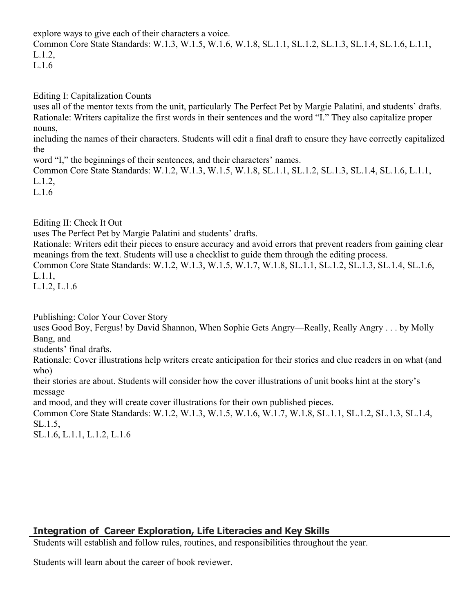explore ways to give each of their characters a voice.

Common Core State Standards: W.1.3, W.1.5, W.1.6, W.1.8, SL.1.1, SL.1.2, SL.1.3, SL.1.4, SL.1.6, L.1.1, L.1.2,

```
L.1.6
```
Editing I: Capitalization Counts

uses all of the mentor texts from the unit, particularly The Perfect Pet by Margie Palatini, and students' drafts. Rationale: Writers capitalize the first words in their sentences and the word "I." They also capitalize proper nouns,

including the names of their characters. Students will edit a final draft to ensure they have correctly capitalized the

word "I," the beginnings of their sentences, and their characters' names.

Common Core State Standards: W.1.2, W.1.3, W.1.5, W.1.8, SL.1.1, SL.1.2, SL.1.3, SL.1.4, SL.1.6, L.1.1, L.1.2,

L.1.6

Editing II: Check It Out

uses The Perfect Pet by Margie Palatini and students' drafts.

Rationale: Writers edit their pieces to ensure accuracy and avoid errors that prevent readers from gaining clear meanings from the text. Students will use a checklist to guide them through the editing process.

Common Core State Standards: W.1.2, W.1.3, W.1.5, W.1.7, W.1.8, SL.1.1, SL.1.2, SL.1.3, SL.1.4, SL.1.6, L.1.1,

L.1.2, L.1.6

Publishing: Color Your Cover Story

uses Good Boy, Fergus! by David Shannon, When Sophie Gets Angry—Really, Really Angry . . . by Molly Bang, and

students' final drafts.

Rationale: Cover illustrations help writers create anticipation for their stories and clue readers in on what (and who)

their stories are about. Students will consider how the cover illustrations of unit books hint at the story's message

and mood, and they will create cover illustrations for their own published pieces.

Common Core State Standards: W.1.2, W.1.3, W.1.5, W.1.6, W.1.7, W.1.8, SL.1.1, SL.1.2, SL.1.3, SL.1.4, SL.1.5,

SL.1.6, L.1.1, L.1.2, L.1.6

## **Integration of Career Exploration, Life Literacies and Key Skills**

Students will establish and follow rules, routines, and responsibilities throughout the year.

Students will learn about the career of book reviewer.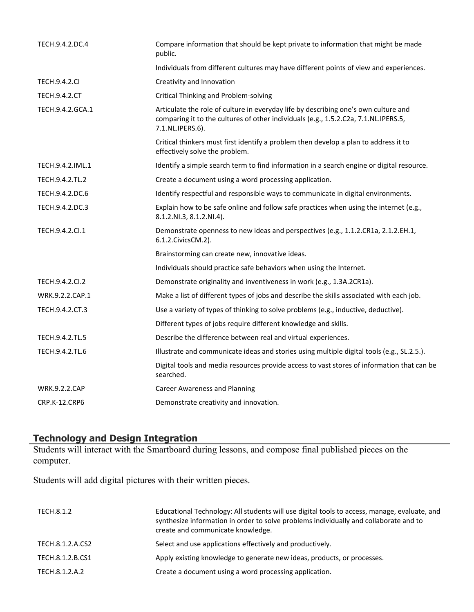| TECH.9.4.2.DC.4      | Compare information that should be kept private to information that might be made<br>public.                                                                                                   |
|----------------------|------------------------------------------------------------------------------------------------------------------------------------------------------------------------------------------------|
|                      | Individuals from different cultures may have different points of view and experiences.                                                                                                         |
| <b>TECH.9.4.2.CI</b> | Creativity and Innovation                                                                                                                                                                      |
| TECH.9.4.2.CT        | <b>Critical Thinking and Problem-solving</b>                                                                                                                                                   |
| TECH.9.4.2.GCA.1     | Articulate the role of culture in everyday life by describing one's own culture and<br>comparing it to the cultures of other individuals (e.g., 1.5.2.C2a, 7.1.NL.IPERS.5,<br>7.1.NL.IPERS.6). |
|                      | Critical thinkers must first identify a problem then develop a plan to address it to<br>effectively solve the problem.                                                                         |
| TECH.9.4.2.IML.1     | Identify a simple search term to find information in a search engine or digital resource.                                                                                                      |
| TECH.9.4.2.TL.2      | Create a document using a word processing application.                                                                                                                                         |
| TECH.9.4.2.DC.6      | Identify respectful and responsible ways to communicate in digital environments.                                                                                                               |
| TECH.9.4.2.DC.3      | Explain how to be safe online and follow safe practices when using the internet (e.g.,<br>8.1.2.NI.3, 8.1.2.NI.4).                                                                             |
| TECH.9.4.2.Cl.1      | Demonstrate openness to new ideas and perspectives (e.g., 1.1.2.CR1a, 2.1.2.EH.1,<br>6.1.2. Civics CM.2).                                                                                      |
|                      | Brainstorming can create new, innovative ideas.                                                                                                                                                |
|                      | Individuals should practice safe behaviors when using the Internet.                                                                                                                            |
| TECH.9.4.2.CI.2      | Demonstrate originality and inventiveness in work (e.g., 1.3A.2CR1a).                                                                                                                          |
| WRK.9.2.2.CAP.1      | Make a list of different types of jobs and describe the skills associated with each job.                                                                                                       |
| TECH.9.4.2.CT.3      | Use a variety of types of thinking to solve problems (e.g., inductive, deductive).                                                                                                             |
|                      | Different types of jobs require different knowledge and skills.                                                                                                                                |
| TECH.9.4.2.TL.5      | Describe the difference between real and virtual experiences.                                                                                                                                  |
| TECH.9.4.2.TL.6      | Illustrate and communicate ideas and stories using multiple digital tools (e.g., SL.2.5.).                                                                                                     |
|                      | Digital tools and media resources provide access to vast stores of information that can be<br>searched.                                                                                        |
| <b>WRK.9.2.2.CAP</b> | <b>Career Awareness and Planning</b>                                                                                                                                                           |
| CRP.K-12.CRP6        | Demonstrate creativity and innovation.                                                                                                                                                         |

#### **Technology and Design Integration**

Students will interact with the Smartboard during lessons, and compose final published pieces on the computer.

Students will add digital pictures with their written pieces.

| TECH.8.1.2       | Educational Technology: All students will use digital tools to access, manage, evaluate, and<br>synthesize information in order to solve problems individually and collaborate and to<br>create and communicate knowledge. |
|------------------|----------------------------------------------------------------------------------------------------------------------------------------------------------------------------------------------------------------------------|
| TECH.8.1.2.A.CS2 | Select and use applications effectively and productively.                                                                                                                                                                  |
| TECH.8.1.2.B.CS1 | Apply existing knowledge to generate new ideas, products, or processes.                                                                                                                                                    |
| TECH.8.1.2.A.2   | Create a document using a word processing application.                                                                                                                                                                     |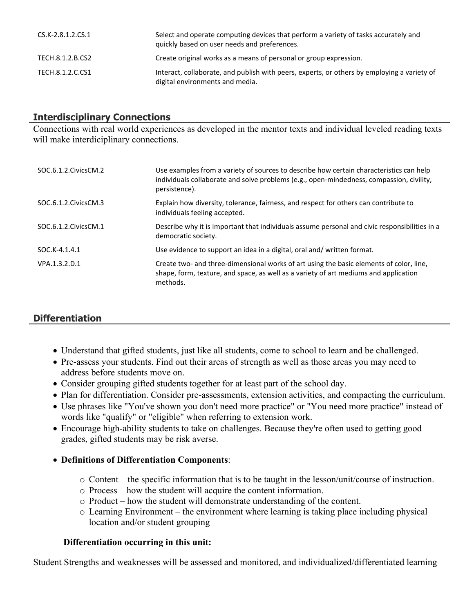| CS.K-2.8.1.2.CS.1 | Select and operate computing devices that perform a variety of tasks accurately and<br>quickly based on user needs and preferences. |
|-------------------|-------------------------------------------------------------------------------------------------------------------------------------|
| TECH.8.1.2.B.CS2  | Create original works as a means of personal or group expression.                                                                   |
| TECH.8.1.2.C.CS1  | Interact, collaborate, and publish with peers, experts, or others by employing a variety of<br>digital environments and media.      |

#### **Interdisciplinary Connections**

Connections with real world experiences as developed in the mentor texts and individual leveled reading texts will make interdiciplinary connections.

| SOC.6.1.2. Civics CM.2 | Use examples from a variety of sources to describe how certain characteristics can help<br>individuals collaborate and solve problems (e.g., open-mindedness, compassion, civility,<br>persistence). |
|------------------------|------------------------------------------------------------------------------------------------------------------------------------------------------------------------------------------------------|
| SOC.6.1.2. Civics CM.3 | Explain how diversity, tolerance, fairness, and respect for others can contribute to<br>individuals feeling accepted.                                                                                |
| SOC.6.1.2.CivicsCM.1   | Describe why it is important that individuals assume personal and civic responsibilities in a<br>democratic society.                                                                                 |
| SOC.K-4.1.4.1          | Use evidence to support an idea in a digital, oral and/written format.                                                                                                                               |
| VPA.1.3.2.D.1          | Create two- and three-dimensional works of art using the basic elements of color, line,<br>shape, form, texture, and space, as well as a variety of art mediums and application<br>methods.          |

# **Differentiation**

- Understand that gifted students, just like all students, come to school to learn and be challenged.
- Pre-assess your students. Find out their areas of strength as well as those areas you may need to address before students move on.
- Consider grouping gifted students together for at least part of the school day.
- Plan for differentiation. Consider pre-assessments, extension activities, and compacting the curriculum.
- Use phrases like "You've shown you don't need more practice" or "You need more practice" instead of words like "qualify" or "eligible" when referring to extension work.
- Encourage high-ability students to take on challenges. Because they're often used to getting good grades, gifted students may be risk averse.

#### **Definitions of Differentiation Components**:

- o Content the specific information that is to be taught in the lesson/unit/course of instruction.
- o Process how the student will acquire the content information.
- o Product how the student will demonstrate understanding of the content.
- o Learning Environment the environment where learning is taking place including physical location and/or student grouping

#### **Differentiation occurring in this unit:**

Student Strengths and weaknesses will be assessed and monitored, and individualized/differentiated learning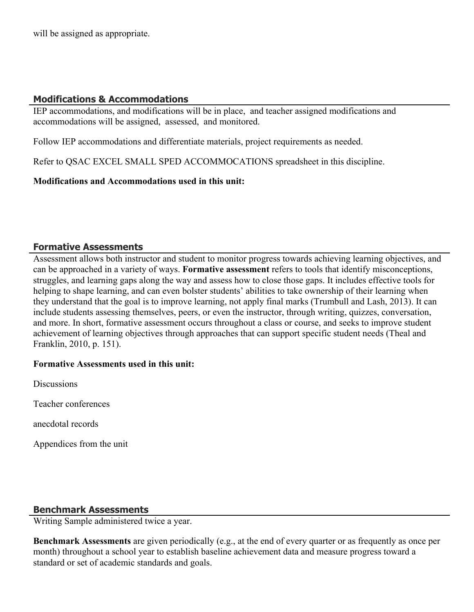will be assigned as appropriate.

#### **Modifications & Accommodations**

IEP accommodations, and modifications will be in place, and teacher assigned modifications and accommodations will be assigned, assessed, and monitored.

Follow IEP accommodations and differentiate materials, project requirements as needed.

Refer to QSAC EXCEL SMALL SPED ACCOMMOCATIONS spreadsheet in this discipline.

**Modifications and Accommodations used in this unit:**

#### **Formative Assessments**

Assessment allows both instructor and student to monitor progress towards achieving learning objectives, and can be approached in a variety of ways. **Formative assessment** refers to tools that identify misconceptions, struggles, and learning gaps along the way and assess how to close those gaps. It includes effective tools for helping to shape learning, and can even bolster students' abilities to take ownership of their learning when they understand that the goal is to improve learning, not apply final marks (Trumbull and Lash, 2013). It can include students assessing themselves, peers, or even the instructor, through writing, quizzes, conversation, and more. In short, formative assessment occurs throughout a class or course, and seeks to improve student achievement of learning objectives through approaches that can support specific student needs (Theal and Franklin, 2010, p. 151).

#### **Formative Assessments used in this unit:**

**Discussions** 

Teacher conferences

anecdotal records

Appendices from the unit

#### **Benchmark Assessments**

Writing Sample administered twice a year.

**Benchmark Assessments** are given periodically (e.g., at the end of every quarter or as frequently as once per month) throughout a school year to establish baseline achievement data and measure progress toward a standard or set of academic standards and goals.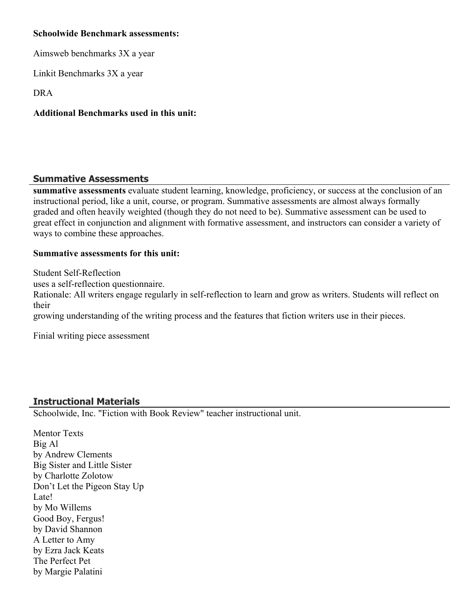#### **Schoolwide Benchmark assessments:**

Aimsweb benchmarks 3X a year

Linkit Benchmarks 3X a year

DRA

## **Additional Benchmarks used in this unit:**

## **Summative Assessments**

**summative assessments** evaluate student learning, knowledge, proficiency, or success at the conclusion of an instructional period, like a unit, course, or program. Summative assessments are almost always formally graded and often heavily weighted (though they do not need to be). Summative assessment can be used to great effect in conjunction and alignment with formative assessment, and instructors can consider a variety of ways to combine these approaches.

#### **Summative assessments for this unit:**

Student Self-Reflection uses a self-reflection questionnaire. Rationale: All writers engage regularly in self-reflection to learn and grow as writers. Students will reflect on their growing understanding of the writing process and the features that fiction writers use in their pieces.

Finial writing piece assessment

# **Instructional Materials**

Schoolwide, Inc. "Fiction with Book Review" teacher instructional unit.

Mentor Texts Big Al by Andrew Clements Big Sister and Little Sister by Charlotte Zolotow Don't Let the Pigeon Stay Up Late! by Mo Willems Good Boy, Fergus! by David Shannon A Letter to Amy by Ezra Jack Keats The Perfect Pet by Margie Palatini